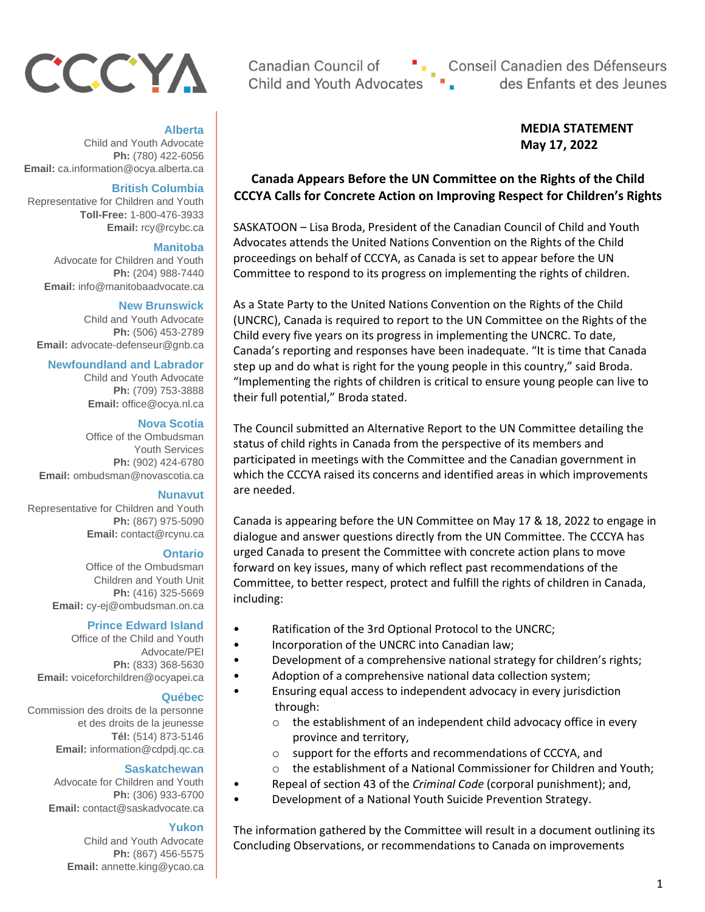# CCCYA

## **Alberta**

Child and Youth Advocate **Ph:** (780) 422-6056 **Email:** ca.information@ocya.alberta.ca

## **British Columbia**

Representative for Children and Youth **Toll-Free:** 1-800-476-3933 **Email:** rcy@rcybc.ca

## **Manitoba**

Advocate for Children and Youth **Ph:** (204) 988-7440 **Email:** info@manitobaadvocate.ca

#### **New Brunswick**

Child and Youth Advocate **Ph:** (506) 453-2789 **Email:** advocate-defenseur@gnb.ca

## **Newfoundland and Labrador**

Child and Youth Advocate **Ph:** (709) 753-3888 **Email:** office@ocya.nl.ca

#### **Nova Scotia**

Office of the Ombudsman Youth Services **Ph:** (902) 424-6780 **Email:** ombudsman@novascotia.ca

#### **Nunavut**

Representative for Children and Youth **Ph:** (867) 975-5090 **Email:** contact@rcynu.ca

#### **Ontario**

Office of the Ombudsman Children and Youth Unit **Ph:** (416) 325-5669 **Email:** cy-ej@ombudsman.on.ca

## **Prince Edward Island**

Office of the Child and Youth Advocate/PEI **Ph:** (833) 368-5630 **Email:** voiceforchildren@ocyapei.ca

#### **Québec**

Commission des droits de la personne et des droits de la jeunesse **Tél:** (514) 873-5146 **Email:** information@cdpdj.qc.ca

#### **Saskatchewan**

Advocate for Children and Youth **Ph:** (306) 933-6700 **Email:** contact@saskadvocate.ca

#### **Yukon**

Child and Youth Advocate **Ph:** (867) 456-5575 **Email:** annette.king@ycao.ca

Canadian Council of Child and Youth Advocates

"
Conseil Canadien des Défenseurs<br>es Pulles Enfants et des Jeunes

## **MEDIA STATEMENT May 17, 2022**

## **Canada Appears Before the UN Committee on the Rights of the Child CCCYA Calls for Concrete Action on Improving Respect for Children's Rights**

SASKATOON – Lisa Broda, President of the Canadian Council of Child and Youth Advocates attends the United Nations Convention on the Rights of the Child proceedings on behalf of CCCYA, as Canada is set to appear before the UN Committee to respond to its progress on implementing the rights of children.

As a State Party to the United Nations Convention on the Rights of the Child (UNCRC), Canada is required to report to the UN Committee on the Rights of the Child every five years on its progress in implementing the UNCRC. To date, Canada's reporting and responses have been inadequate. "It is time that Canada step up and do what is right for the young people in this country," said Broda. "Implementing the rights of children is critical to ensure young people can live to their full potential," Broda stated.

The Council submitted an Alternative Report to the UN Committee detailing the status of child rights in Canada from the perspective of its members and participated in meetings with the Committee and the Canadian government in which the CCCYA raised its concerns and identified areas in which improvements are needed.

Canada is appearing before the UN Committee on May 17 & 18, 2022 to engage in dialogue and answer questions directly from the UN Committee. The CCCYA has urged Canada to present the Committee with concrete action plans to move forward on key issues, many of which reflect past recommendations of the Committee, to better respect, protect and fulfill the rights of children in Canada, including:

- Ratification of the 3rd Optional Protocol to the UNCRC;
- Incorporation of the UNCRC into Canadian law;
- Development of a comprehensive national strategy for children's rights;
- Adoption of a comprehensive national data collection system;
- Ensuring equal access to independent advocacy in every jurisdiction through:
	- o the establishment of an independent child advocacy office in every province and territory,
	- o support for the efforts and recommendations of CCCYA, and
	- o the establishment of a National Commissioner for Children and Youth;
	- Repeal of section 43 of the *Criminal Code* (corporal punishment); and,
- Development of a National Youth Suicide Prevention Strategy.

The information gathered by the Committee will result in a document outlining its Concluding Observations, or recommendations to Canada on improvements